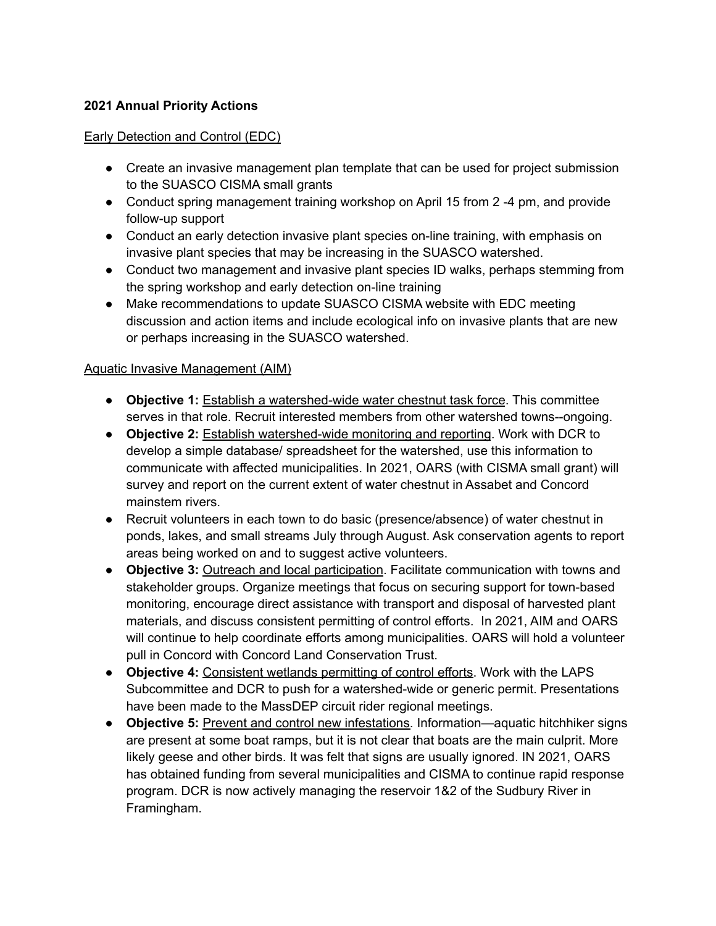## **2021 Annual Priority Actions**

#### Early Detection and Control (EDC)

- Create an invasive management plan template that can be used for project submission to the SUASCO CISMA small grants
- Conduct spring management training workshop on April 15 from 2 -4 pm, and provide follow-up support
- Conduct an early detection invasive plant species on-line training, with emphasis on invasive plant species that may be increasing in the SUASCO watershed.
- Conduct two management and invasive plant species ID walks, perhaps stemming from the spring workshop and early detection on-line training
- Make recommendations to update SUASCO CISMA website with EDC meeting discussion and action items and include ecological info on invasive plants that are new or perhaps increasing in the SUASCO watershed.

#### Aquatic Invasive Management (AIM)

- **Objective 1:** Establish a watershed-wide water chestnut task force. This committee serves in that role. Recruit interested members from other watershed towns--ongoing.
- **Objective 2:** Establish watershed-wide monitoring and reporting. Work with DCR to develop a simple database/ spreadsheet for the watershed, use this information to communicate with affected municipalities. In 2021, OARS (with CISMA small grant) will survey and report on the current extent of water chestnut in Assabet and Concord mainstem rivers.
- Recruit volunteers in each town to do basic (presence/absence) of water chestnut in ponds, lakes, and small streams July through August. Ask conservation agents to report areas being worked on and to suggest active volunteers.
- **Objective 3:** Outreach and local participation. Facilitate communication with towns and stakeholder groups. Organize meetings that focus on securing support for town-based monitoring, encourage direct assistance with transport and disposal of harvested plant materials, and discuss consistent permitting of control efforts. In 2021, AIM and OARS will continue to help coordinate efforts among municipalities. OARS will hold a volunteer pull in Concord with Concord Land Conservation Trust.
- **Objective 4:** Consistent wetlands permitting of control efforts. Work with the LAPS Subcommittee and DCR to push for a watershed-wide or generic permit. Presentations have been made to the MassDEP circuit rider regional meetings.
- **Objective 5:** Prevent and control new infestations. Information—aquatic hitchhiker signs are present at some boat ramps, but it is not clear that boats are the main culprit. More likely geese and other birds. It was felt that signs are usually ignored. IN 2021, OARS has obtained funding from several municipalities and CISMA to continue rapid response program. DCR is now actively managing the reservoir 1&2 of the Sudbury River in Framingham.